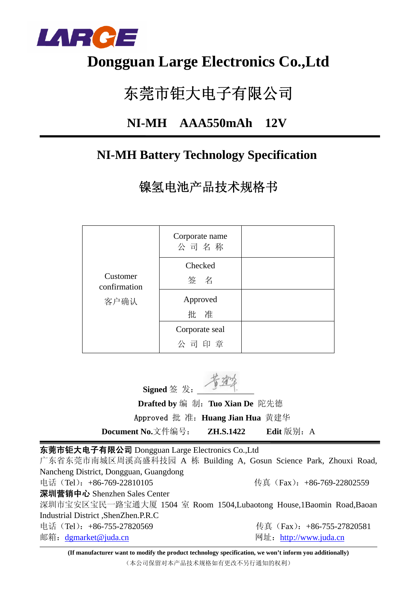

## **Dongguan Large Electronics Co.,Ltd**

# 东莞市钜大电子有限公司

### **NI-MH AAA550mAh 12V**

### **NI-MH Battery Technology Specification**

镍氢电池产品技术规格书

|                          | Corporate name<br>公司名称 |  |
|--------------------------|------------------------|--|
| Customer<br>confirmation | Checked<br>签名          |  |
| 客户确认                     | Approved<br>批 准        |  |
|                          | Corporate seal<br>公司印章 |  |

**Signed** 签 发:

 **Drafted by** 编 制:**Tuo Xian De** 陀先德 Approved 批 准:**Huang Jian Hua** 黄建华

**Document No.**文件编号: **ZH.S.1422** Edit 版别: A

东莞市钜大电子有限公司 Dongguan Large Electronics Co.,Ltd

广东省东莞市南城区周溪高盛科技园 A 栋 Building A, Gosun Science Park, Zhouxi Road, Nancheng District, Dongguan, Guangdong 电话(Tel):+86-769-22810105 传真(Fax):+86-769-22802559 深圳营销中心 Shenzhen Sales Center 深圳市宝安区宝民一路宝通大厦 1504 室 Room 1504,Lubaotong House,1Baomin Road,Baoan Industrial District ,ShenZhen.P.R.C 电话(Tel): +86-755-27820569 传真(Fax): +86-755-27820581 邮箱:dgmarket@juda.cn 网址:http://www.juda.cn

**(If manufacturer want to modify the product technology specification, we won't inform you additionally)** (本公司保留对本产品技术规格如有更改不另行通知的权利)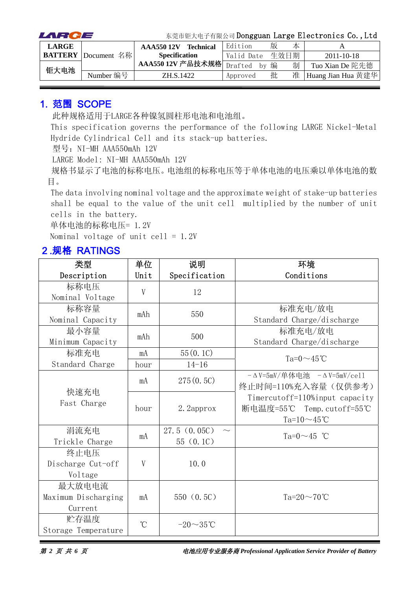| LARCE        |                            | 东莞市钜大电子有限公司 Dongguan Large Electronics Co., Ltd |                  |            |      |   |                    |
|--------------|----------------------------|-------------------------------------------------|------------------|------------|------|---|--------------------|
| <b>LARGE</b> |                            | AAA55012V                                       | <b>Technical</b> | Edition    | 版    | 本 |                    |
|              | <b>BATTERY</b> Document 名称 | <b>Specification</b>                            |                  | Valid Date | 生效日期 |   | $2011 - 10 - 18$   |
|              |                            | AAA550 12V 产品技术规格 Drafted                       |                  | hv         | 编    | 制 | Tuo Xian De 陀先德    |
| 钜大电池         | Number 编号                  | ZH.S.1422                                       |                  | Approved   | 批    | 准 | Huang Jian Hua 黄建华 |

#### 1. 范围 SCOPE

此种规格适用于LARGE各种镍氢圆柱形电池和电池组。

This specification governs the performance of the following LARGE Nickel-Metal Hydride Cylindrical Cell and its stack-up batteries.

型号: NI-MH AAA550mAh 12V

LARGE Model: NI-MH AAA550mAh 12V

规格书显示了电池的标称电压。电池组的标称电压等于单体电池的电压乘以单体电池的数 目。

The data involving nominal voltage and the approximate weight of stake-up batteries shall be equal to the value of the unit cell multiplied by the number of unit cells in the battery.

单体电池的标称电压= 1.2V

Nominal voltage of unit cell =  $1.2V$ 

#### 2.规格 RATINGS

| 类型                  | 单位              | 说明             | 环境                                        |
|---------------------|-----------------|----------------|-------------------------------------------|
| Description         | Unit            | Specification  | Conditions                                |
| 标称电压                | V               | 12             |                                           |
| Nominal Voltage     |                 |                |                                           |
| 标称容量                | mAh             | 550            | 标准充电/放电                                   |
| Nominal Capacity    |                 |                | Standard Charge/discharge                 |
| 最小容量                | mAh             | 500            | 标准充电/放电                                   |
| Minimum Capacity    |                 |                | Standard Charge/discharge                 |
| 标准充电                | mA              | 55(0.1C)       | $Ta=0 \sim 45^{\circ}$ C                  |
| Standard Charge     | hour            | $14 - 16$      |                                           |
|                     | mA              | 275(0.5C)      | $-\Delta$ V=5mV/单体电池 $-\Delta$ V=5mV/ce11 |
| 快速充电                |                 |                | 终止时间=110%充入容量(仅供参考)                       |
| Fast Charge         |                 |                | Timercutoff=110%input capacity            |
|                     | hour            | 2. 2approx     | 断电温度=55℃ Temp.cutoff=55℃                  |
|                     |                 |                | Ta= $10 \sim 45$ °C                       |
| 涓流充电                | mA              | 27.5(0.05C)    | Ta= $0 \sim 45$ °C                        |
| Trickle Charge      |                 | 55(0.1C)       |                                           |
| 终止电压                |                 |                |                                           |
| Discharge Cut-off   | V               | 10.0           |                                           |
| Voltage             |                 |                |                                           |
| 最大放电电流              |                 |                |                                           |
| Maximum Discharging | mA              | 550(0.5C)      | Ta= $20\sim70^{\circ}$ C                  |
| Current             |                 |                |                                           |
| 贮存温度                | $\rm ^{\circ}C$ | $-20\sim35$ °C |                                           |
| Storage Temperature |                 |                |                                           |

第 *2* 页 共 *6* 页电池应用专业服务商 *Professional Application Service Provider of Battery*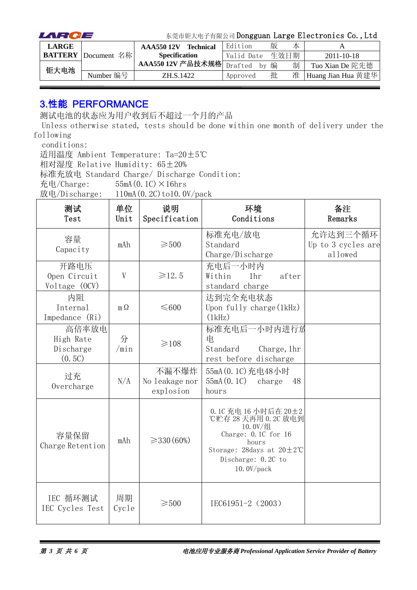| LARCE        |                            | 东莞市钜大电子有限公司 Dongguan Large Electronics Co., Ltd |            |   |      |                    |  |
|--------------|----------------------------|-------------------------------------------------|------------|---|------|--------------------|--|
| <b>LARGE</b> |                            | <b>Technical</b><br><b>AAA550 12V</b>           | Edition    | 版 | 本    |                    |  |
|              | <b>BATTERY</b> Document 名称 | <b>Specification</b>                            | Valid Date |   | 生效日期 | $2011 - 10 - 18$   |  |
|              |                            | AAA550 12V 产品技术规格 Drafted                       | by         | 编 | 制    | Tuo Xian De 陀先德    |  |
| 钜大电池         | Number 编号                  | ZH S 1422                                       | Approved   | 批 | 准    | Huang Jian Hua 黄建华 |  |

#### 3.性能 PERFORMANCE

测试电池的状态应为用户收到后不超过一个月的产品

Unless otherwise stated, tests should be done within one month of delivery under the following

conditions:

适用温度 Ambient Temperature: Ta=20±5℃

相对湿度 Relative Humidity: 65±20%

标准充放电 Standard Charge/ Discharge Condition:

充电/Charge:  $55mA(0.1C) \times 16hrs$ 

放电/Discharge:  $110mA(0.2C)$  to 10.0V/pack

| 测试<br>Test                                | 单位<br>Unit  | 说明<br>Specification                  | 环境<br>Conditions                                                                                                                                                          | 备注<br>Remarks                             |
|-------------------------------------------|-------------|--------------------------------------|---------------------------------------------------------------------------------------------------------------------------------------------------------------------------|-------------------------------------------|
| 容量<br>Capacity                            | mAh         | $\geqslant 500$                      | 标准充电/放电<br>Standard<br>Charge/Discharge                                                                                                                                   | 允许达到三个循环<br>Up to 3 cycles are<br>allowed |
| 开路电压<br>Open Circuit<br>Voltage (OCV)     | V           | ≥12.5                                | 充电后一小时内<br>Within<br>1 <sub>hr</sub><br>after<br>standard charge                                                                                                          |                                           |
| 内阻<br>Internal<br>Impedance (Ri)          | $m \Omega$  | $\leq 600$                           | 达到完全充电状态<br>Upon fully charge $(1kHz)$<br>(1kHz)                                                                                                                          |                                           |
| 高倍率放电<br>High Rate<br>Discharge<br>(0.5C) | 分<br>/min   | $\geq 108$                           | 标准充电后一小时内进行放<br>电<br>Standard<br>Charge, 1hr<br>rest before discharge                                                                                                     |                                           |
| 过充<br>Overcharge                          | N/A         | 不漏不爆炸<br>No leakage nor<br>explosion | 55mA (0.1C) 充电48小时<br>55mA(0.1C)<br>charge<br>48<br>hours                                                                                                                 |                                           |
| 容量保留<br>Charge Retention                  | mAh         | $\geq$ 330 (60%)                     | 0.1C 充电 16 小时后在 20±2<br>℃贮存 28 天再用 0.2C 放电到<br>10.0V/组<br>Charge: $0.1C$ for $16$<br>hours<br>Storage: 28days at $20 \pm 2^{\circ}$ C<br>Discharge: 0.2C to<br>10.0V/pack |                                           |
| IEC 循环测试<br>IEC Cycles Test               | 周期<br>Cycle | $\geqslant$ 500                      | IEC61951-2 (2003)                                                                                                                                                         |                                           |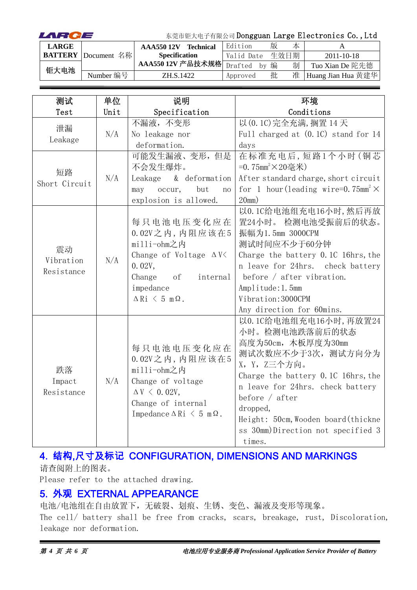| LARCE        |                            | 东莞市钜大电子有限公司 Dongguan Large Electronics Co., Ltd |                  |               |   |      |                    |
|--------------|----------------------------|-------------------------------------------------|------------------|---------------|---|------|--------------------|
| <b>LARGE</b> |                            | AAA55012V                                       | <b>Technical</b> | Edition       | 版 | 本    |                    |
|              | <b>BATTERY</b> Document 名称 | <b>Specification</b>                            |                  | Valid Date    |   | 生效日期 | $2011 - 10 - 18$   |
| 钜大电池         |                            | AAA550 12V 产品技术规格                               |                  | Drafted<br>hv | 编 | 制    | Tuo Xian De 陀先德    |
|              | Number 编号                  | ZH.S.1422                                       |                  | Approved      | 批 | 准    | Huang Jian Hua 黄建华 |

| 测试            | 单位   | 说明                                          | 环境                                                    |
|---------------|------|---------------------------------------------|-------------------------------------------------------|
| Test          | Unit | Specification                               | Conditions                                            |
|               |      | 不漏液,不变形                                     | 以 (0.1C) 完全充满, 搁置 14 天                                |
| 泄漏<br>Leakage | N/A  | No leakage nor                              | Full charged at $(0.1C)$ stand for 14                 |
|               |      | deformation.                                | days                                                  |
|               |      | 可能发生漏液、变形,但是                                | 在标准充电后,短路1个小时(铜芯                                      |
| 短路            |      | 不会发生爆炸。                                     | =0.75mm <sup>2</sup> ×20毫米)                           |
| Short Circuit | N/A  | & deformation<br>Leakage                    | After standard charge, short circuit                  |
|               |      | but<br>occur,<br>may<br>no                  | for 1 hour (leading wire=0.75mm <sup>2</sup> $\times$ |
|               |      | explosion is allowed.                       | 20mm)                                                 |
|               |      |                                             | 以0.1C给电池组充电16小时,然后再放                                  |
|               |      | 每只电池电压变化应在                                  | 置24小时。 检测电池受振前后的状态。                                   |
|               | N/A  | $0.02V$ 之内, 内阻应该在5                          | 振幅为1.5mm 3000CPM                                      |
| 震动            |      | milli-ohm之内                                 | 测试时间应不少于60分钟                                          |
| Vibration     |      | Change of Voltage $\Delta V$                | Charge the battery 0.1C 16hrs, the                    |
| Resistance    |      | 0.02V,                                      | n leave for 24hrs. check battery                      |
|               |      | Change<br>of<br>internal                    | before $/$ after vibration.                           |
|               |      | impedance                                   | Amplitude: 1.5mm                                      |
|               |      | $\Delta$ Ri $\leq$ 5 m $\Omega$ .           | Vibration: 3000CPM                                    |
|               |      |                                             | Any direction for 60mins.                             |
|               |      |                                             | 以0.1C给电池组充电16小时,再放置24                                 |
|               |      |                                             | 小时。检测电池跌落前后的状态                                        |
|               |      | 每只电池电压变化应在                                  | 高度为50cm, 木板厚度为30mm                                    |
|               |      | $0.02V$ 之内, 内阻应该在5                          | 测试次数应不少于3次, 测试方向分为                                    |
| 跌落            |      | milli-ohm之内                                 | X, Y, Z三个方向。                                          |
| Impact        | N/A  | Change of voltage                           | Charge the battery 0.1C 16hrs, the                    |
| Resistance    |      | $\Delta V \leq 0.02V$ ,                     | n leave for 24hrs. check battery                      |
|               |      | Change of internal                          | before $/$ after                                      |
|               |      | Impedance $\Delta$ Ri $\leq$ 5 m $\Omega$ . | dropped,                                              |
|               |      |                                             | Height: 50cm, Wooden board (thickne                   |
|               |      |                                             | ss 30mm)Direction not specified 3                     |
|               |      |                                             | times.                                                |

### 4. 结构,尺寸及标记 CONFIGURATION, DIMENSIONS AND MARKINGS

请查阅附上的图表。

Please refer to the attached drawing.

#### 5. 外观 EXTERNAL APPEARANCE

电池/电池组在自由放置下,无破裂、划痕、生锈、变色、漏液及变形等现象。 The cell/ battery shall be free from cracks, scars, breakage, rust, Discoloration, leakage nor deformation.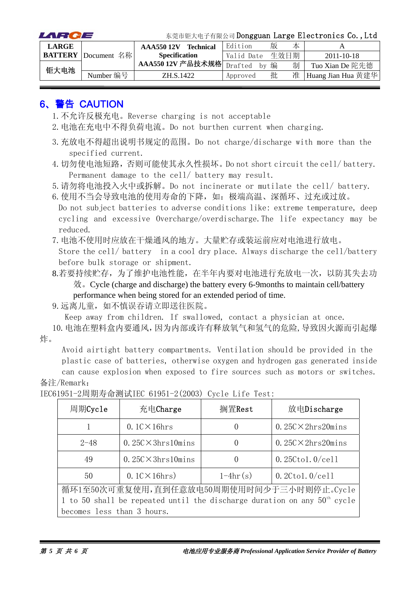| LARCE        | 东莞市钜大电子有限公司 Dongguan Large Electronics Co., Ltd |                               |            |   |      |                    |
|--------------|-------------------------------------------------|-------------------------------|------------|---|------|--------------------|
| <b>LARGE</b> |                                                 | <b>Technical</b><br>AAA55012V | Edition    | 版 | 本    |                    |
|              | <b>BATTERY</b> Document 名称                      | <b>Specification</b>          | Valid Date |   | 生效日期 | $2011 - 10 - 18$   |
| 钜大电池         |                                                 | AAA550 12V 产品技术规格 Drafted     | bv         | 编 | 制    | Tuo Xian De 陀先德    |
|              | Number 编号                                       | ZH.S.1422                     | Approved   | 批 | 准    | Huang Jian Hua 黄建华 |

#### 6、警告 CAUTION

- 1.不允许反极充电。Reverse charging is not acceptable
- 2.电池在充电中不得负荷电流。Do not burthen current when charging.
- 3.充放电不得超出说明书规定的范围。Do not charge/discharge with more than the specified current.
- 4.切勿使电池短路,否则可能使其永久性损坏。Do not short circuit the cell/ battery. Permanent damage to the cell/ battery may result.

5.请勿将电池投入火中或拆解。Do not incinerate or mutilate the cell/ battery.

6. 使用不当会导致电池的使用寿命的下降,如:极端高温、深循环、过充或过放。 Do not subject batteries to adverse conditions like: extreme temperature, deep cycling and excessive Overcharge/overdischarge.The life expectancy may be reduced.

7.电池不使用时应放在干燥通风的地方。大量贮存或装运前应对电池进行放电。

Store the cell/ battery in a cool dry place. Always discharge the cell/battery before bulk storage or shipment.

8.若要持续贮存,为了维护电池性能,在半年内要对电池进行充放电一次,以防其失去功 效。Cycle (charge and discharge) the battery every 6-9months to maintain cell/battery performance when being stored for an extended period of time.

9.远离儿童,如不慎误吞请立即送往医院。

Keep away from children. If swallowed, contact a physician at once.

10.电池在塑料盒内要通风,因为内部或许有释放氧气和氢气的危险,导致因火源而引起爆 炸。

Avoid airtight battery compartments. Ventilation should be provided in the plastic case of batteries, otherwise oxygen and hydrogen gas generated inside

can cause explosion when exposed to fire sources such as motors or switches. 备注/Remark:

| 周期Cycle                                                                    | 充电Charge                   | 搁置Rest           | 放电Discharge                               |  |  |  |
|----------------------------------------------------------------------------|----------------------------|------------------|-------------------------------------------|--|--|--|
|                                                                            | $0.1$ C $\times$ 16hrs     | $\theta$         | $0.25C \times 2hrs20 mins$                |  |  |  |
| $2 - 48$                                                                   | $0.25C \times 3hrs10 mins$ | $\theta$         | $0.25C \times 2hrs20 mins$                |  |  |  |
| 49                                                                         | $0.25C \times 3hrs10 mins$ | $\left( \right)$ | $0.25C$ tol. $0$ /cell                    |  |  |  |
| 50                                                                         | $0.1$ C $\times$ 16hrs)    | $1-4hr(s)$       | $0.2C$ tol. $0$ /cell                     |  |  |  |
|                                                                            |                            |                  | 循环1至50次可重复使用,直到任意放电50周期使用时间少于三小时则停止。Cycle |  |  |  |
| 1 to 50 shall be repeated until the discharge duration on any $50th$ cycle |                            |                  |                                           |  |  |  |
| becomes less than 3 hours.                                                 |                            |                  |                                           |  |  |  |

IEC61951-2周期寿命测试IEC 61951-2(2003) Cycle Life Test: